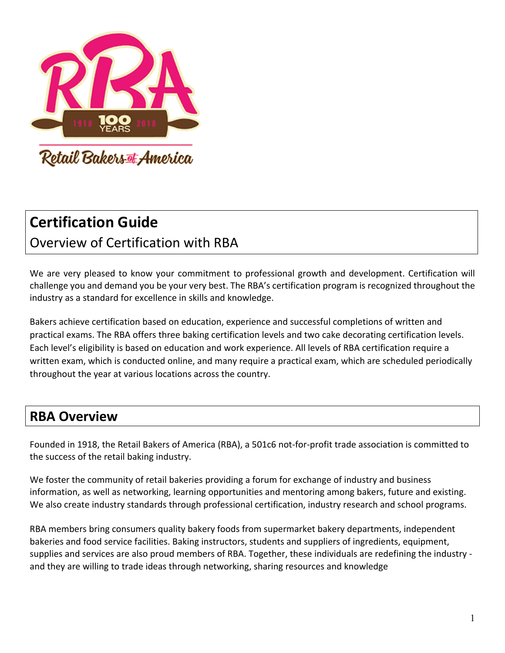

# **Certification Guide**

Overview of Certification with RBA

We are very pleased to know your commitment to professional growth and development. Certification will challenge you and demand you be your very best. The RBA's certification program is recognized throughout the industry as a standard for excellence in skills and knowledge.

Bakers achieve certification based on education, experience and successful completions of written and practical exams. The RBA offers three baking certification levels and two cake decorating certification levels. Each level's eligibility is based on education and work experience. All levels of RBA certification require a written exam, which is conducted online, and many require a practical exam, which are scheduled periodically throughout the year at various locations across the country.

# **RBA Overview**

Founded in 1918, the Retail Bakers of America (RBA), a 501c6 not-for-profit trade association is committed to the success of the retail baking industry.

We foster the community of retail bakeries providing a forum for exchange of industry and business information, as well as networking, learning opportunities and mentoring among bakers, future and existing. We also create industry standards through professional certification, industry research and school programs.

RBA members bring consumers quality bakery foods from supermarket bakery departments, independent bakeries and food service facilities. Baking instructors, students and suppliers of ingredients, equipment, supplies and services are also proud members of RBA. Together, these individuals are redefining the industry and they are willing to trade ideas through networking, sharing resources and knowledge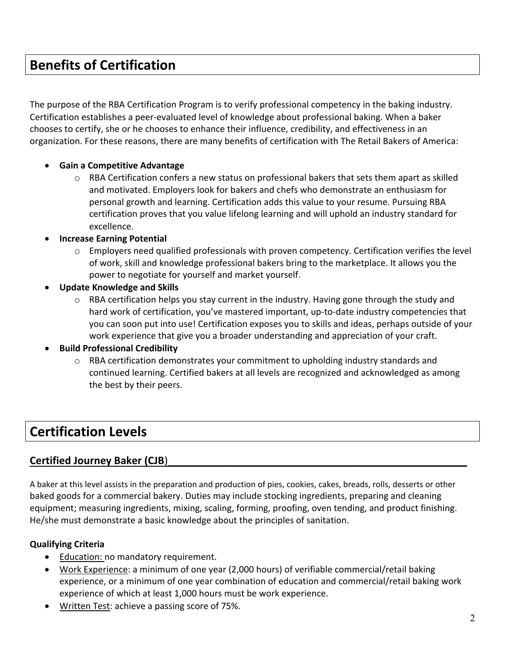# **Benefits of Certification**

The purpose of the RBA Certification Program is to verify professional competency in the baking industry. Certification establishes a peer-evaluated level of knowledge about professional baking. When a baker chooses to certify, she or he chooses to enhance their influence, credibility, and effectiveness in an organization. For these reasons, there are many benefits of certification with The Retail Bakers of America:

#### • **Gain a Competitive Advantage**

 $\circ$  RBA Certification confers a new status on professional bakers that sets them apart as skilled and motivated. Employers look for bakers and chefs who demonstrate an enthusiasm for personal growth and learning. Certification adds this value to your resume. Pursuing RBA certification proves that you value lifelong learning and will uphold an industry standard for excellence.

#### • **Increase Earning Potential**

- $\circ$  Employers need qualified professionals with proven competency. Certification verifies the level of work, skill and knowledge professional bakers bring to the marketplace. It allows you the power to negotiate for yourself and market yourself.
- **Update Knowledge and Skills** 
	- $\circ$  RBA certification helps you stay current in the industry. Having gone through the study and hard work of certification, you've mastered important, up-to-date industry competencies that you can soon put into use! Certification exposes you to skills and ideas, perhaps outside of your work experience that give you a broader understanding and appreciation of your craft.

#### • **Build Professional Credibility**

 $\circ$  RBA certification demonstrates your commitment to upholding industry standards and continued learning. Certified bakers at all levels are recognized and acknowledged as among the best by their peers.

# **Certification Levels**

#### Certified Journey Baker (CJB)

A baker at this level assists in the preparation and production of pies, cookies, cakes, breads, rolls, desserts or other baked goods for a commercial bakery. Duties may include stocking ingredients, preparing and cleaning equipment; measuring ingredients, mixing, scaling, forming, proofing, oven tending, and product finishing. He/she must demonstrate a basic knowledge about the principles of sanitation.

#### **Qualifying Criteria**

- Education: no mandatory requirement.
- Work Experience: a minimum of one year (2,000 hours) of verifiable commercial/retail baking experience, or a minimum of one year combination of education and commercial/retail baking work experience of which at least 1,000 hours must be work experience.
- Written Test: achieve a passing score of 75%.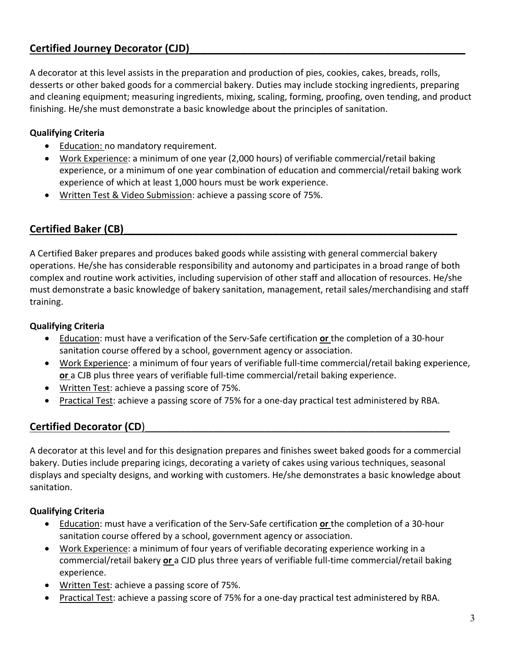### **Certified Journey Decorator (CJD)**\_\_\_\_\_\_\_\_\_\_\_\_\_\_\_\_\_\_\_\_\_\_\_\_\_\_\_\_\_\_\_\_\_\_\_\_\_\_\_\_\_\_\_\_\_\_\_\_

A decorator at this level assists in the preparation and production of pies, cookies, cakes, breads, rolls, desserts or other baked goods for a commercial bakery. Duties may include stocking ingredients, preparing and cleaning equipment; measuring ingredients, mixing, scaling, forming, proofing, oven tending, and product finishing. He/she must demonstrate a basic knowledge about the principles of sanitation.

#### **Qualifying Criteria**

- Education: no mandatory requirement.
- Work Experience: a minimum of one year (2,000 hours) of verifiable commercial/retail baking experience, or a minimum of one year combination of education and commercial/retail baking work experience of which at least 1,000 hours must be work experience.
- Written Test & Video Submission: achieve a passing score of 75%.

#### Certified Baker (CB)

A Certified Baker prepares and produces baked goods while assisting with general commercial bakery operations. He/she has considerable responsibility and autonomy and participates in a broad range of both complex and routine work activities, including supervision of other staff and allocation of resources. He/she must demonstrate a basic knowledge of bakery sanitation, management, retail sales/merchandising and staff training.

#### **Qualifying Criteria**

- Education: must have a verification of the Serv-Safe certification **or** the completion of a 30-hour sanitation course offered by a school, government agency or association.
- Work Experience: a minimum of four years of verifiable full-time commercial/retail baking experience, **or** a CJB plus three years of verifiable full-time commercial/retail baking experience.
- Written Test: achieve a passing score of 75%.
- Practical Test: achieve a passing score of 75% for a one-day practical test administered by RBA.

#### **Certified Decorator (CD)**

A decorator at this level and for this designation prepares and finishes sweet baked goods for a commercial bakery. Duties include preparing icings, decorating a variety of cakes using various techniques, seasonal displays and specialty designs, and working with customers. He/she demonstrates a basic knowledge about sanitation.

#### **Qualifying Criteria**

- Education: must have a verification of the Serv-Safe certification **or** the completion of a 30-hour sanitation course offered by a school, government agency or association.
- Work Experience: a minimum of four years of verifiable decorating experience working in a commercial/retail bakery **or** a CJD plus three years of verifiable full-time commercial/retail baking experience.
- Written Test: achieve a passing score of 75%.
- Practical Test: achieve a passing score of 75% for a one-day practical test administered by RBA.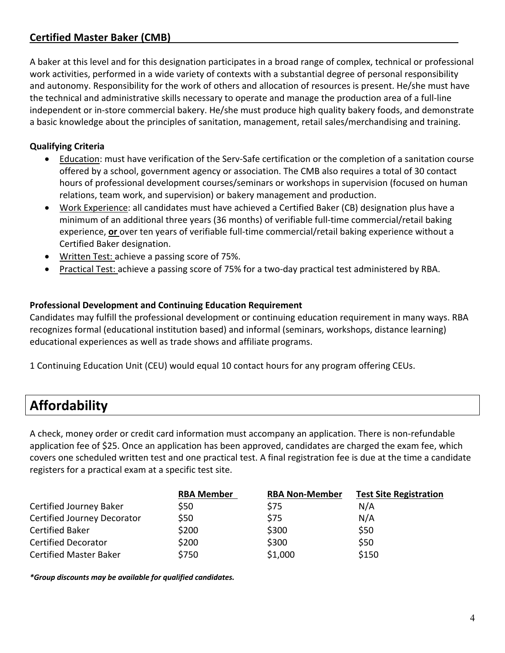### **Certified Master Baker (CMB)**\_\_\_\_\_\_\_\_\_\_\_\_\_\_\_\_\_\_\_\_\_\_\_\_\_\_\_\_\_\_\_\_\_\_\_\_\_\_\_\_\_\_\_\_\_\_\_\_\_\_

A baker at this level and for this designation participates in a broad range of complex, technical or professional work activities, performed in a wide variety of contexts with a substantial degree of personal responsibility and autonomy. Responsibility for the work of others and allocation of resources is present. He/she must have the technical and administrative skills necessary to operate and manage the production area of a full-line independent or in-store commercial bakery. He/she must produce high quality bakery foods, and demonstrate a basic knowledge about the principles of sanitation, management, retail sales/merchandising and training.

#### **Qualifying Criteria**

- Education: must have verification of the Serv-Safe certification or the completion of a sanitation course offered by a school, government agency or association. The CMB also requires a total of 30 contact hours of professional development courses/seminars or workshops in supervision (focused on human relations, team work, and supervision) or bakery management and production.
- Work Experience: all candidates must have achieved a Certified Baker (CB) designation plus have a minimum of an additional three years (36 months) of verifiable full-time commercial/retail baking experience, **or** over ten years of verifiable full-time commercial/retail baking experience without a Certified Baker designation.
- Written Test: achieve a passing score of 75%.
- Practical Test: achieve a passing score of 75% for a two-day practical test administered by RBA.

#### **Professional Development and Continuing Education Requirement**

Candidates may fulfill the professional development or continuing education requirement in many ways. RBA recognizes formal (educational institution based) and informal (seminars, workshops, distance learning) educational experiences as well as trade shows and affiliate programs.

1 Continuing Education Unit (CEU) would equal 10 contact hours for any program offering CEUs.

### **Affordability**

A check, money order or credit card information must accompany an application. There is non-refundable application fee of \$25. Once an application has been approved, candidates are charged the exam fee, which covers one scheduled written test and one practical test. A final registration fee is due at the time a candidate registers for a practical exam at a specific test site.

|                               | <b>RBA Member</b> | <b>RBA Non-Member</b> | <b>Test Site Registration</b> |
|-------------------------------|-------------------|-----------------------|-------------------------------|
| Certified Journey Baker       | \$50              | \$75                  | N/A                           |
| Certified Journey Decorator   | \$50              | \$75                  | N/A                           |
| <b>Certified Baker</b>        | \$200             | \$300                 | \$50                          |
| <b>Certified Decorator</b>    | \$200             | \$300                 | \$50                          |
| <b>Certified Master Baker</b> | \$750             | \$1,000               | \$150                         |

*\*Group discounts may be available for qualified candidates.*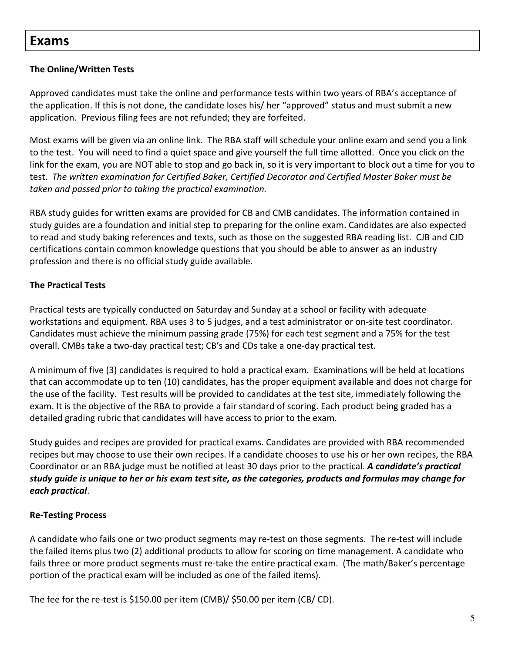### **Exams**

#### **The Online/Written Tests**

Approved candidates must take the online and performance tests within two years of RBA's acceptance of the application. If this is not done, the candidate loses his/ her "approved" status and must submit a new application. Previous filing fees are not refunded; they are forfeited.

Most exams will be given via an online link. The RBA staff will schedule your online exam and send you a link to the test. You will need to find a quiet space and give yourself the full time allotted. Once you click on the link for the exam, you are NOT able to stop and go back in, so it is very important to block out a time for you to test. *The written examination for Certified Baker, Certified Decorator and Certified Master Baker must be taken and passed prior to taking the practical examination.* 

RBA study guides for written exams are provided for CB and CMB candidates. The information contained in study guides are a foundation and initial step to preparing for the online exam. Candidates are also expected to read and study baking references and texts, such as those on the suggested RBA reading list. CJB and CJD certifications contain common knowledge questions that you should be able to answer as an industry profession and there is no official study guide available.

#### **The Practical Tests**

Practical tests are typically conducted on Saturday and Sunday at a school or facility with adequate workstations and equipment. RBA uses 3 to 5 judges, and a test administrator or on-site test coordinator. Candidates must achieve the minimum passing grade (75%) for each test segment and a 75% for the test overall. CMBs take a two-day practical test; CBʹs and CDs take a one-day practical test.

A minimum of five (3) candidates is required to hold a practical exam. Examinations will be held at locations that can accommodate up to ten (10) candidates, has the proper equipment available and does not charge for the use of the facility. Test results will be provided to candidates at the test site, immediately following the exam. It is the objective of the RBA to provide a fair standard of scoring. Each product being graded has a detailed grading rubric that candidates will have access to prior to the exam.

Study guides and recipes are provided for practical exams. Candidates are provided with RBA recommended recipes but may choose to use their own recipes. If a candidate chooses to use his or her own recipes, the RBA Coordinator or an RBA judge must be notified at least 30 days prior to the practical. *A candidate's practical study guide is unique to her or his exam test site, as the categories, products and formulas may change for each practical*.

#### **Re-Testing Process**

A candidate who fails one or two product segments may re-test on those segments. The re-test will include the failed items plus two (2) additional products to allow for scoring on time management. A candidate who fails three or more product segments must re-take the entire practical exam. (The math/Baker's percentage portion of the practical exam will be included as one of the failed items).

The fee for the re-test is \$150.00 per item (CMB)/ \$50.00 per item (CB/ CD).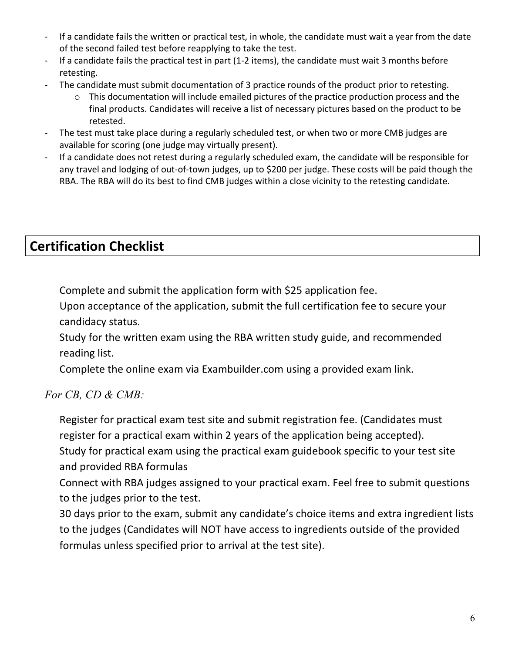- If a candidate fails the written or practical test, in whole, the candidate must wait a year from the date of the second failed test before reapplying to take the test.
- If a candidate fails the practical test in part (1-2 items), the candidate must wait 3 months before retesting.
- The candidate must submit documentation of 3 practice rounds of the product prior to retesting.
	- o This documentation will include emailed pictures of the practice production process and the final products. Candidates will receive a list of necessary pictures based on the product to be retested.
- The test must take place during a regularly scheduled test, or when two or more CMB judges are available for scoring (one judge may virtually present).
- If a candidate does not retest during a regularly scheduled exam, the candidate will be responsible for any travel and lodging of out-of-town judges, up to \$200 per judge. These costs will be paid though the RBA. The RBA will do its best to find CMB judges within a close vicinity to the retesting candidate.

# **Certification Checklist**

Complete and submit the application form with \$25 application fee.

 Upon acceptance of the application, submit the full certification fee to secure your candidacy status.

 Study for the written exam using the RBA written study guide, and recommended reading list.

Complete the online exam via Exambuilder.com using a provided exam link.

### *For CB, CD & CMB:*

 Register for practical exam test site and submit registration fee. (Candidates must register for a practical exam within 2 years of the application being accepted).

 Study for practical exam using the practical exam guidebook specific to your test site and provided RBA formulas

 Connect with RBA judges assigned to your practical exam. Feel free to submit questions to the judges prior to the test.

 30 days prior to the exam, submit any candidate's choice items and extra ingredient lists to the judges (Candidates will NOT have access to ingredients outside of the provided formulas unless specified prior to arrival at the test site).